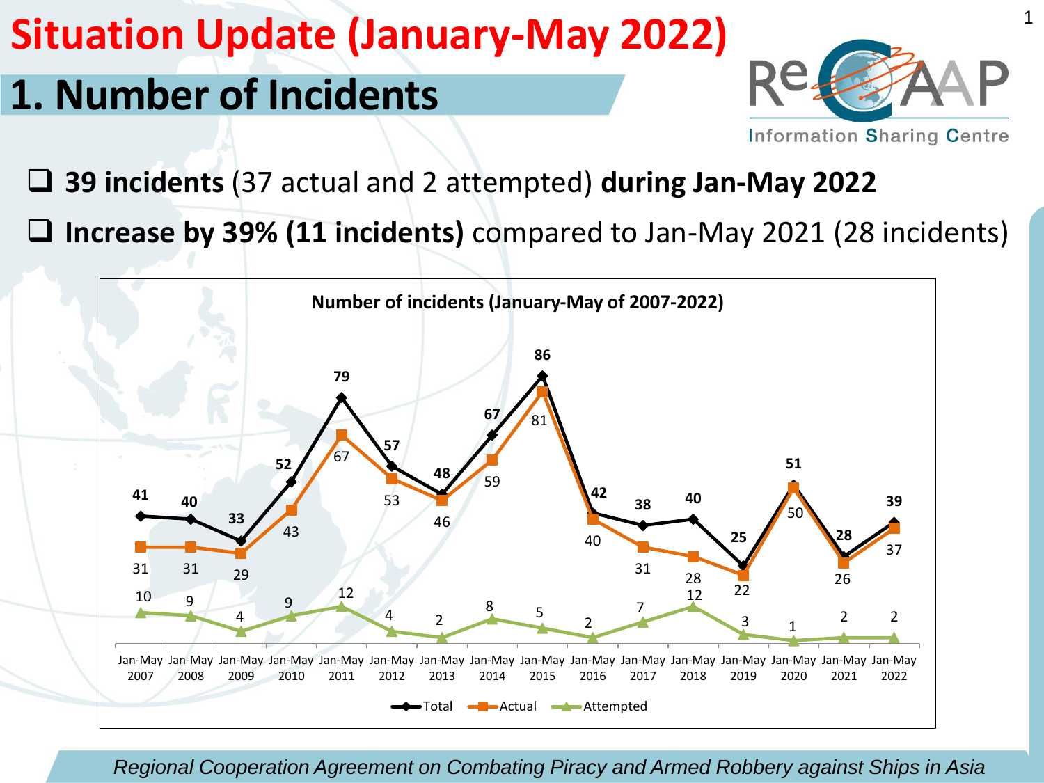## **1. Number of Incidents**



- ❑ **39 incidents** (37 actual and 2 attempted) **during Jan-May 2022**
- ❑ **Increase by 39% (11 incidents)** compared to Jan-May 2021 (28 incidents)

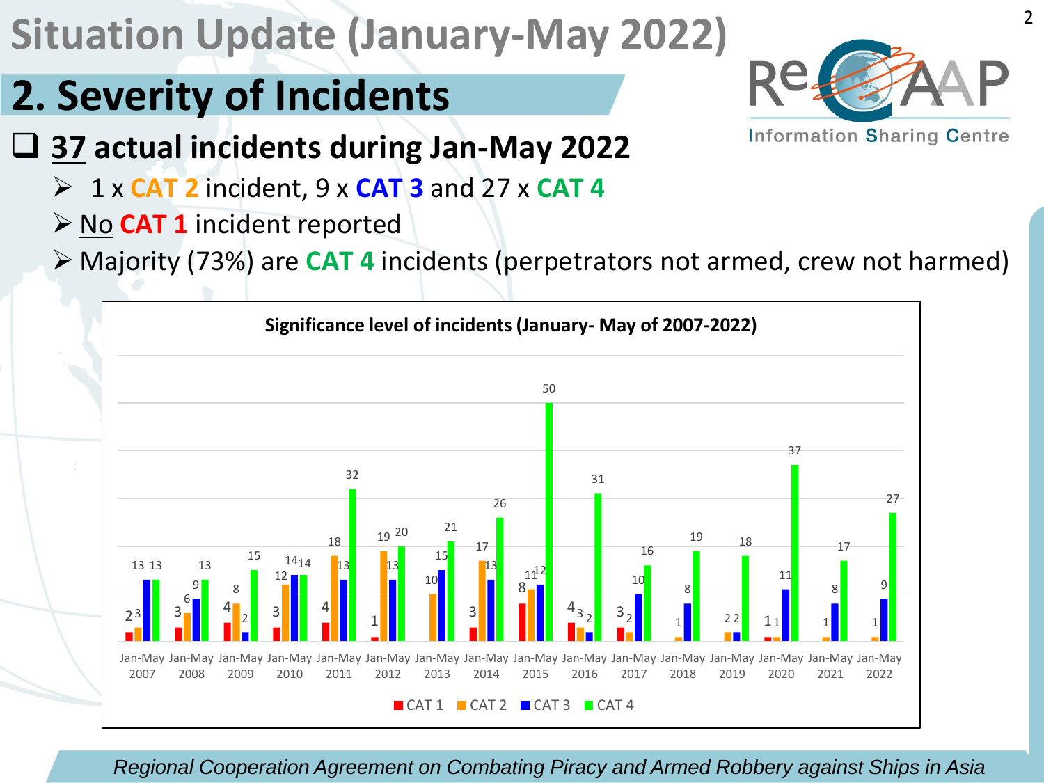# **2. Severity of Incidents**



❑ **37 actual incidents during Jan-May 2022**

- ➢ 1 x **CAT 2** incident, 9 x **CAT 3** and 27 x **CAT 4**
- ➢ No **CAT 1** incident reported
- ➢ Majority (73%) are **CAT 4** incidents (perpetrators not armed, crew not harmed)

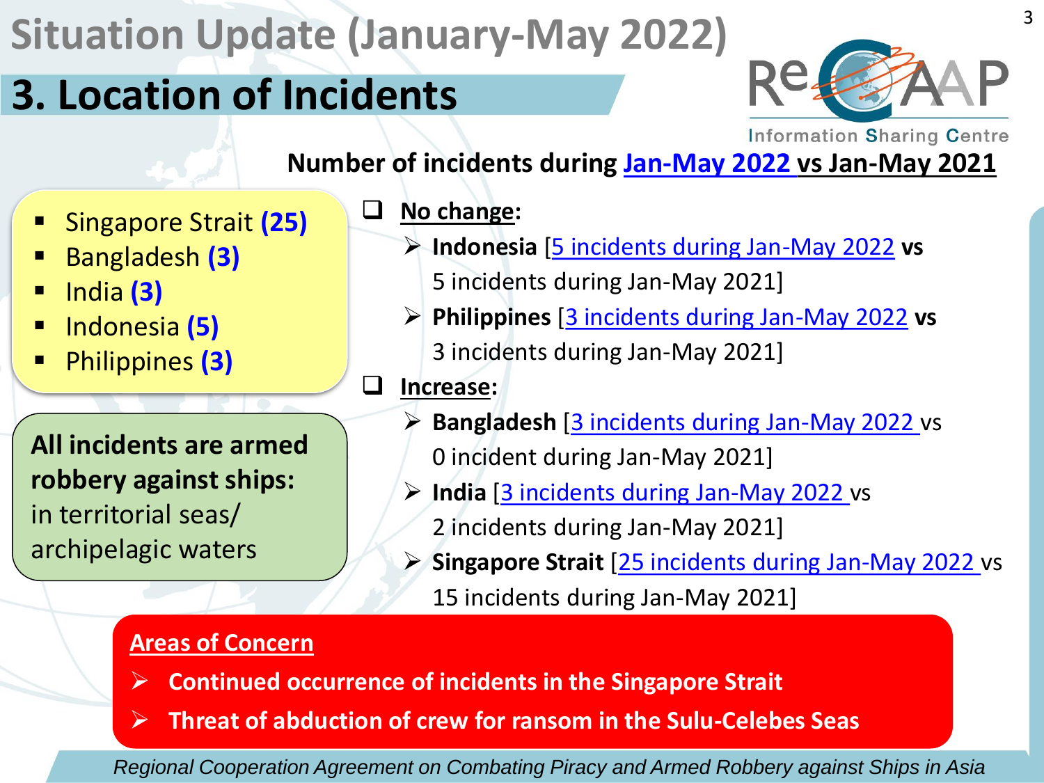## **3. Location of Incidents**



**Information Sharing Centre** 

#### **Number of incidents during Jan-May 2022 vs Jan-May 2021**

- Singapore Strait **(25)**
- Bangladesh **(3)**
- India **(3)**
- Indonesia **(5)**
- Philippines (3)

**All incidents are armed robbery against ships:** in territorial seas/ archipelagic waters

- ❑ **No change:**
	- ➢ **Indonesia** [5 incidents during Jan-May 2022 **vs** 5 incidents during Jan-May 2021]
	- ➢ **Philippines** [3 incidents during Jan-May 2022 **vs** 3 incidents during Jan-May 2021]
- ❑ **Increase:**
	- ➢ **Bangladesh** [3 incidents during Jan-May 2022 vs 0 incident during Jan-May 2021]
	- ➢ **India** [3 incidents during Jan-May 2022 vs 2 incidents during Jan-May 2021]
	- ➢ **Singapore Strait** [25 incidents during Jan-May 2022 vs 15 incidents during Jan-May 2021]

#### **Areas of Concern**

- ➢ **Continued occurrence of incidents in the Singapore Strait**
- ➢ **Threat of abduction of crew for ransom in the Sulu-Celebes Seas**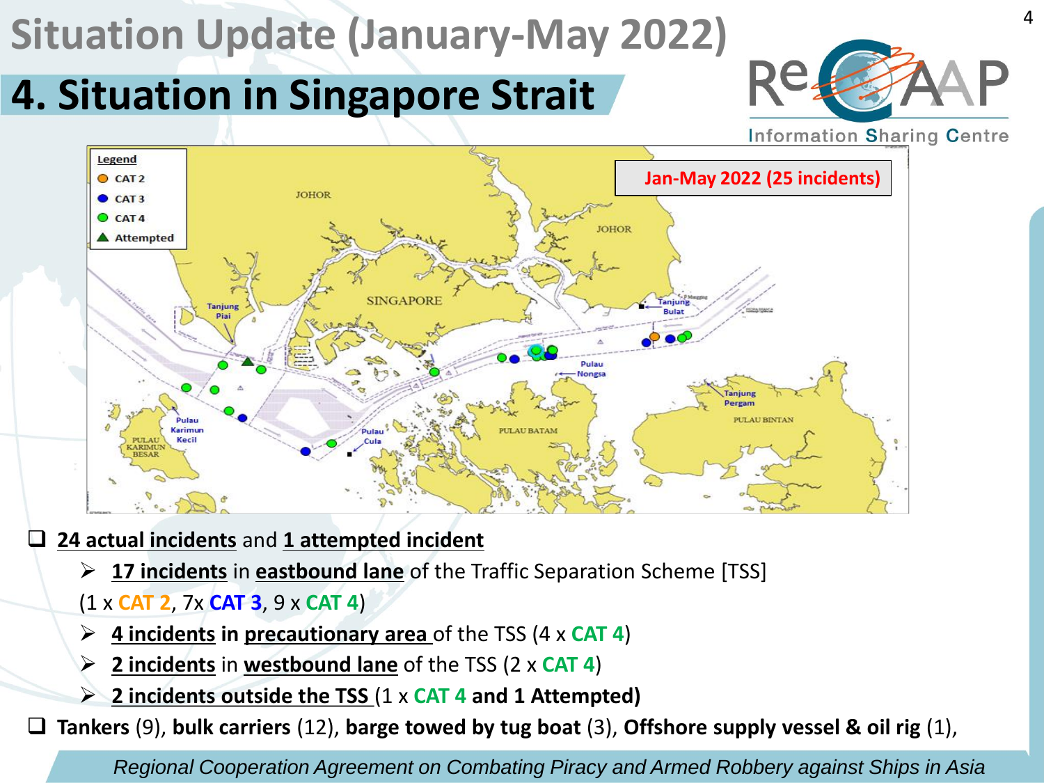# **4. Situation in Singapore Strait**



4

**Information Sharing Centre** 



❑ **24 actual incidents** and **1 attempted incident**

- ➢ **17 incidents** in **eastbound lane** of the Traffic Separation Scheme [TSS]
- (1 x **CAT 2**, 7x **CAT 3**, 9 x **CAT 4**)
- ➢ **4 incidents in precautionary area** of the TSS (4 x **CAT 4**)
- ➢ **2 incidents** in **westbound lane** of the TSS (2 x **CAT 4**)
- ➢ **2 incidents outside the TSS** (1 x **CAT 4 and 1 Attempted)**

❑ **Tankers** (9), **bulk carriers** (12), **barge towed by tug boat** (3), **Offshore supply vessel & oil rig** (1),